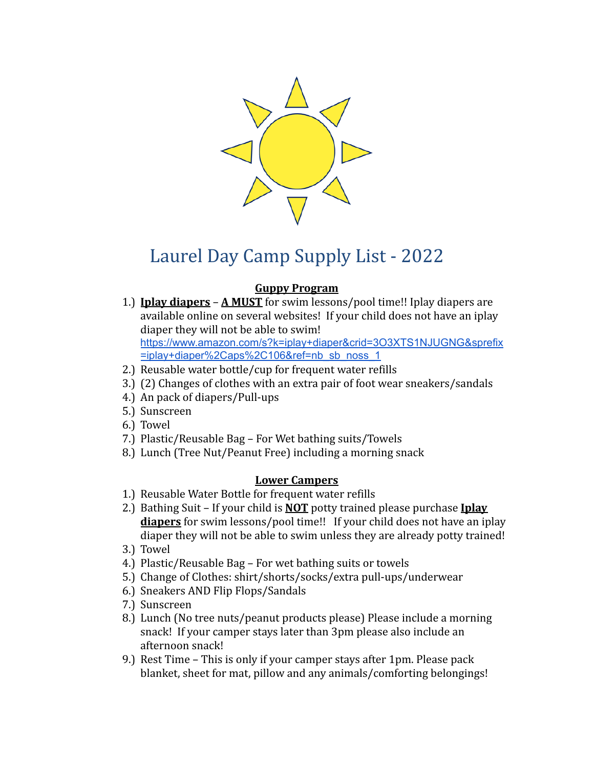

# Laurel Day Camp Supply List - 2022

## **Guppy Program**

- 1.) **Iplay diapers A MUST** for swim lessons/pool time!! Iplay diapers are available online on several websites! If your child does not have an iplay diaper they will not be able to swim! [https://www.amazon.com/s?k=iplay+diaper&crid=3O3XTS1NJUGNG&sprefix](https://www.amazon.com/s?k=iplay+diaper&crid=3O3XTS1NJUGNG&sprefix=iplay+diaper%2Caps%2C106&ref=nb_sb_noss_1) [=iplay+diaper%2Caps%2C106&ref=nb\\_sb\\_noss\\_1](https://www.amazon.com/s?k=iplay+diaper&crid=3O3XTS1NJUGNG&sprefix=iplay+diaper%2Caps%2C106&ref=nb_sb_noss_1)
- 2.) Reusable water bottle/cup for frequent water refills
- 3.) (2) Changes of clothes with an extra pair of foot wear sneakers/sandals
- 4.) An pack of diapers/Pull-ups
- 5.) Sunscreen
- 6.) Towel
- 7.) Plastic/Reusable Bag For Wet bathing suits/Towels
- 8.) Lunch (Tree Nut/Peanut Free) including a morning snack

#### **Lower Campers**

- 1.) Reusable Water Bottle for frequent water refills
- 2.) Bathing Suit If your child is **NOT** potty trained please purchase **Iplay diapers** for swim lessons/pool time!! If your child does not have an iplay diaper they will not be able to swim unless they are already potty trained!
- 3.) Towel
- 4.) Plastic/Reusable Bag For wet bathing suits or towels
- 5.) Change of Clothes: shirt/shorts/socks/extra pull-ups/underwear
- 6.) Sneakers AND Flip Flops/Sandals
- 7.) Sunscreen
- 8.) Lunch (No tree nuts/peanut products please) Please include a morning snack! If your camper stays later than 3pm please also include an afternoon snack!
- 9.) Rest Time This is only if your camper stays after 1pm. Please pack blanket, sheet for mat, pillow and any animals/comforting belongings!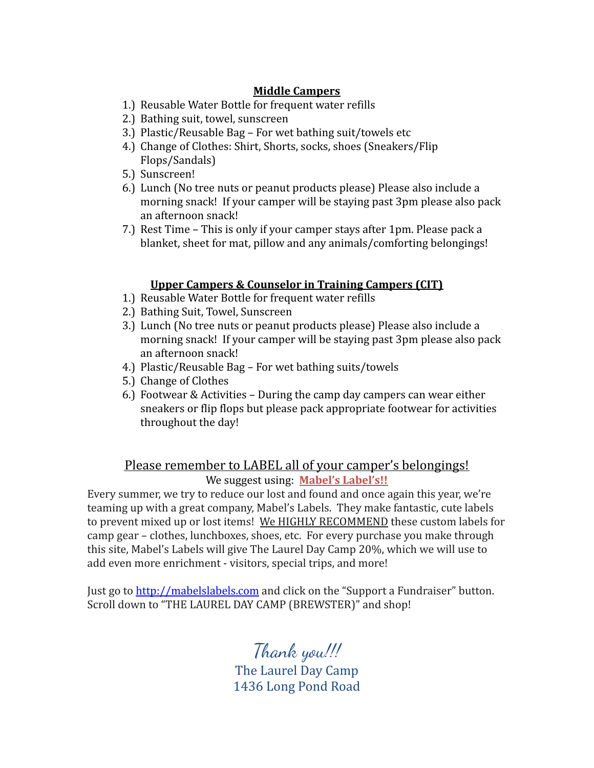#### **Middle Campers**

- 1.) Reusable Water Bottle for frequent water refills
- 2.) Bathing suit, towel, sunscreen
- 3.) Plastic/Reusable Bag For wet bathing suit/towels etc
- 4.) Change of Clothes: Shirt, Shorts, socks, shoes (Sneakers/Flip Flops/Sandals)
- 5.) Sunscreen!
- 6.) Lunch (No tree nuts or peanut products please) Please also include a morning snack! If your camper will be staying past 3pm please also pack an afternoon snack!
- 7.) Rest Time This is only if your camper stays after 1pm. Please pack a blanket, sheet for mat, pillow and any animals/comforting belongings!

#### **Upper Campers & Counselor in Training Campers (CIT)**

- 1.) Reusable Water Bottle for frequent water refills
- 2.) Bathing Suit, Towel, Sunscreen
- 3.) Lunch (No tree nuts or peanut products please) Please also include a morning snack! If your camper will be staying past 3pm please also pack an afternoon snack!
- 4.) Plastic/Reusable Bag For wet bathing suits/towels
- 5.) Change of Clothes
- 6.) Footwear & Activities During the camp day campers can wear either sneakers or flip flops but please pack appropriate footwear for activities throughout the day!

### Please remember to LABEL all of your camper's belongings! We suggest using: **Mabel's Label's!!**

Every summer, we try to reduce our lost and found and once again this year, we're teaming up with a great company, Mabel's Labels. They make fantastic, cute labels to prevent mixed up or lost items! We HIGHLY RECOMMEND these custom labels for camp gear – clothes, lunchboxes, shoes, etc. For every purchase you make through this site, Mabel's Labels will give The Laurel Day Camp 20%, which we will use to add even more enrichment - visitors, special trips, and more!

Just go to <http://mabelslabels.com> and click on the "Support a Fundraiser" button. Scroll down to "THE LAUREL DAY CAMP (BREWSTER)" and shop!

> Thank you!!! The Laurel Day Camp 1436 Long Pond Road